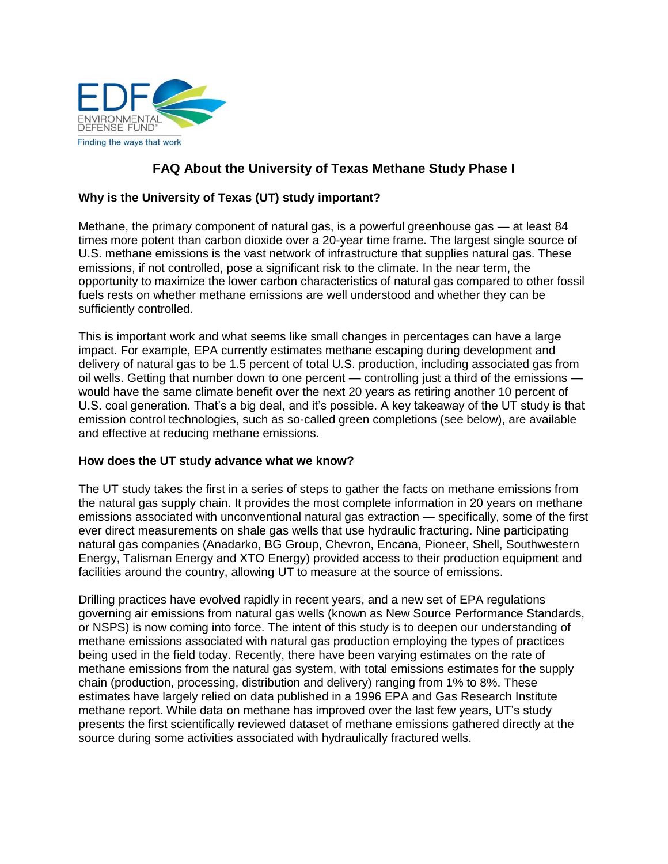

# **FAQ About the University of Texas Methane Study Phase I**

# **Why is the University of Texas (UT) study important?**

Methane, the primary component of natural gas, is a powerful greenhouse gas — at least 84 times more potent than carbon dioxide over a 20-year time frame. The largest single source of U.S. methane emissions is the vast network of infrastructure that supplies natural gas. These emissions, if not controlled, pose a significant risk to the climate. In the near term, the opportunity to maximize the lower carbon characteristics of natural gas compared to other fossil fuels rests on whether methane emissions are well understood and whether they can be sufficiently controlled.

This is important work and what seems like small changes in percentages can have a large impact. For example, EPA currently estimates methane escaping during development and delivery of natural gas to be 1.5 percent of total U.S. production, including associated gas from oil wells. Getting that number down to one percent — controlling just a third of the emissions would have the same climate benefit over the next 20 years as retiring another 10 percent of U.S. coal generation. That's a big deal, and it's possible. A key takeaway of the UT study is that emission control technologies, such as so-called green completions (see below), are available and effective at reducing methane emissions.

#### **How does the UT study advance what we know?**

The UT study takes the first in a series of steps to gather the facts on methane emissions from the natural gas supply chain. It provides the most complete information in 20 years on methane emissions associated with unconventional natural gas extraction — specifically, some of the first ever direct measurements on shale gas wells that use hydraulic fracturing. Nine participating natural gas companies (Anadarko, BG Group, Chevron, Encana, Pioneer, Shell, Southwestern Energy, Talisman Energy and XTO Energy) provided access to their production equipment and facilities around the country, allowing UT to measure at the source of emissions.

Drilling practices have evolved rapidly in recent years, and a new set of EPA regulations governing air emissions from natural gas wells (known as New Source Performance Standards, or NSPS) is now coming into force. The intent of this study is to deepen our understanding of methane emissions associated with natural gas production employing the types of practices being used in the field today. Recently, there have been varying estimates on the rate of methane emissions from the natural gas system, with total emissions estimates for the supply chain (production, processing, distribution and delivery) ranging from 1% to 8%. These estimates have largely relied on data published in a 1996 EPA and Gas Research Institute methane report. While data on methane has improved over the last few years, UT's study presents the first scientifically reviewed dataset of methane emissions gathered directly at the source during some activities associated with hydraulically fractured wells.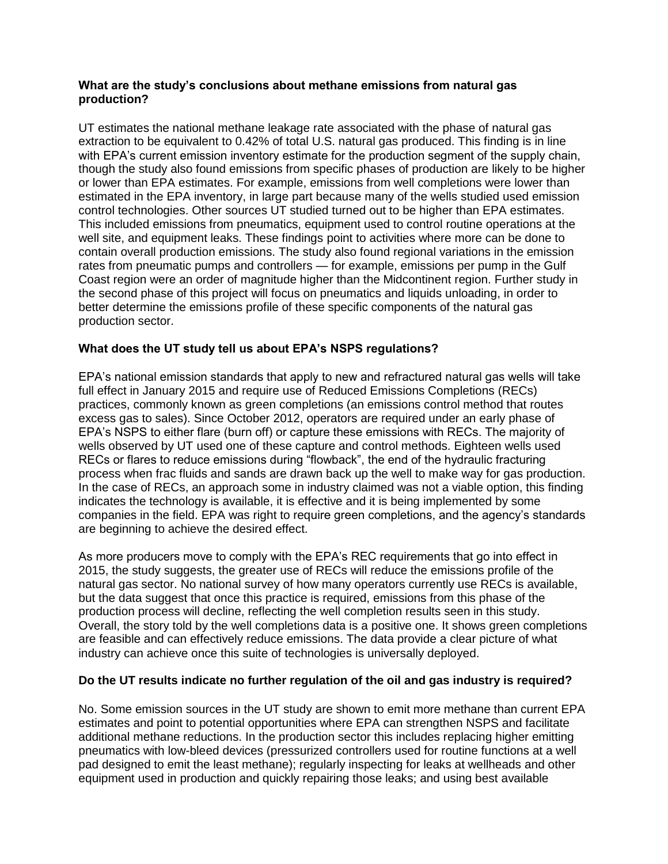# **What are the study's conclusions about methane emissions from natural gas production?**

UT estimates the national methane leakage rate associated with the phase of natural gas extraction to be equivalent to 0.42% of total U.S. natural gas produced. This finding is in line with EPA's current emission inventory estimate for the production segment of the supply chain, though the study also found emissions from specific phases of production are likely to be higher or lower than EPA estimates. For example, emissions from well completions were lower than estimated in the EPA inventory, in large part because many of the wells studied used emission control technologies. Other sources UT studied turned out to be higher than EPA estimates. This included emissions from pneumatics, equipment used to control routine operations at the well site, and equipment leaks. These findings point to activities where more can be done to contain overall production emissions. The study also found regional variations in the emission rates from pneumatic pumps and controllers — for example, emissions per pump in the Gulf Coast region were an order of magnitude higher than the Midcontinent region. Further study in the second phase of this project will focus on pneumatics and liquids unloading, in order to better determine the emissions profile of these specific components of the natural gas production sector.

# **What does the UT study tell us about EPA's NSPS regulations?**

EPA's national emission standards that apply to new and refractured natural gas wells will take full effect in January 2015 and require use of Reduced Emissions Completions (RECs) practices, commonly known as green completions (an emissions control method that routes excess gas to sales). Since October 2012, operators are required under an early phase of EPA's NSPS to either flare (burn off) or capture these emissions with RECs. The majority of wells observed by UT used one of these capture and control methods. Eighteen wells used RECs or flares to reduce emissions during "flowback", the end of the hydraulic fracturing process when frac fluids and sands are drawn back up the well to make way for gas production. In the case of RECs, an approach some in industry claimed was not a viable option, this finding indicates the technology is available, it is effective and it is being implemented by some companies in the field. EPA was right to require green completions, and the agency's standards are beginning to achieve the desired effect.

As more producers move to comply with the EPA's REC requirements that go into effect in 2015, the study suggests, the greater use of RECs will reduce the emissions profile of the natural gas sector. No national survey of how many operators currently use RECs is available, but the data suggest that once this practice is required, emissions from this phase of the production process will decline, reflecting the well completion results seen in this study. Overall, the story told by the well completions data is a positive one. It shows green completions are feasible and can effectively reduce emissions. The data provide a clear picture of what industry can achieve once this suite of technologies is universally deployed.

# **Do the UT results indicate no further regulation of the oil and gas industry is required?**

No. Some emission sources in the UT study are shown to emit more methane than current EPA estimates and point to potential opportunities where EPA can strengthen NSPS and facilitate additional methane reductions. In the production sector this includes replacing higher emitting pneumatics with low-bleed devices (pressurized controllers used for routine functions at a well pad designed to emit the least methane); regularly inspecting for leaks at wellheads and other equipment used in production and quickly repairing those leaks; and using best available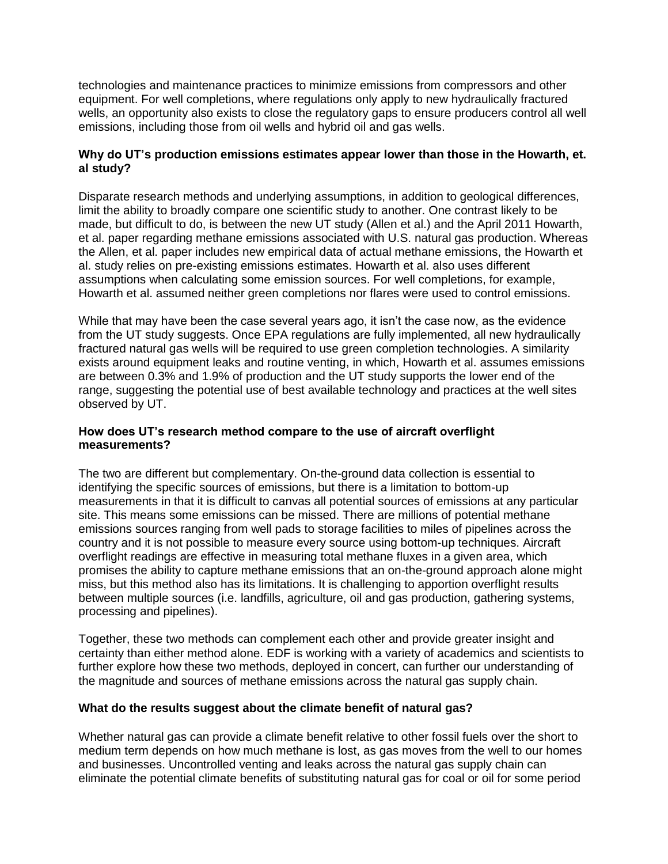technologies and maintenance practices to minimize emissions from compressors and other equipment. For well completions, where regulations only apply to new hydraulically fractured wells, an opportunity also exists to close the regulatory gaps to ensure producers control all well emissions, including those from oil wells and hybrid oil and gas wells.

# **Why do UT's production emissions estimates appear lower than those in the Howarth, et. al study?**

Disparate research methods and underlying assumptions, in addition to geological differences, limit the ability to broadly compare one scientific study to another. One contrast likely to be made, but difficult to do, is between the new UT study (Allen et al.) and the April 2011 Howarth, et al. paper regarding methane emissions associated with U.S. natural gas production. Whereas the Allen, et al. paper includes new empirical data of actual methane emissions, the Howarth et al. study relies on pre-existing emissions estimates. Howarth et al. also uses different assumptions when calculating some emission sources. For well completions, for example, Howarth et al. assumed neither green completions nor flares were used to control emissions.

While that may have been the case several years ago, it isn't the case now, as the evidence from the UT study suggests. Once EPA regulations are fully implemented, all new hydraulically fractured natural gas wells will be required to use green completion technologies. A similarity exists around equipment leaks and routine venting, in which, Howarth et al. assumes emissions are between 0.3% and 1.9% of production and the UT study supports the lower end of the range, suggesting the potential use of best available technology and practices at the well sites observed by UT.

## **How does UT's research method compare to the use of aircraft overflight measurements?**

The two are different but complementary. On-the-ground data collection is essential to identifying the specific sources of emissions, but there is a limitation to bottom-up measurements in that it is difficult to canvas all potential sources of emissions at any particular site. This means some emissions can be missed. There are millions of potential methane emissions sources ranging from well pads to storage facilities to miles of pipelines across the country and it is not possible to measure every source using bottom-up techniques. Aircraft overflight readings are effective in measuring total methane fluxes in a given area, which promises the ability to capture methane emissions that an on-the-ground approach alone might miss, but this method also has its limitations. It is challenging to apportion overflight results between multiple sources (i.e. landfills, agriculture, oil and gas production, gathering systems, processing and pipelines).

Together, these two methods can complement each other and provide greater insight and certainty than either method alone. EDF is working with a variety of academics and scientists to further explore how these two methods, deployed in concert, can further our understanding of the magnitude and sources of methane emissions across the natural gas supply chain.

# **What do the results suggest about the climate benefit of natural gas?**

Whether natural gas can provide a climate benefit relative to other fossil fuels over the short to medium term depends on how much methane is lost, as gas moves from the well to our homes and businesses. Uncontrolled venting and leaks across the natural gas supply chain can eliminate the potential climate benefits of substituting natural gas for coal or oil for some period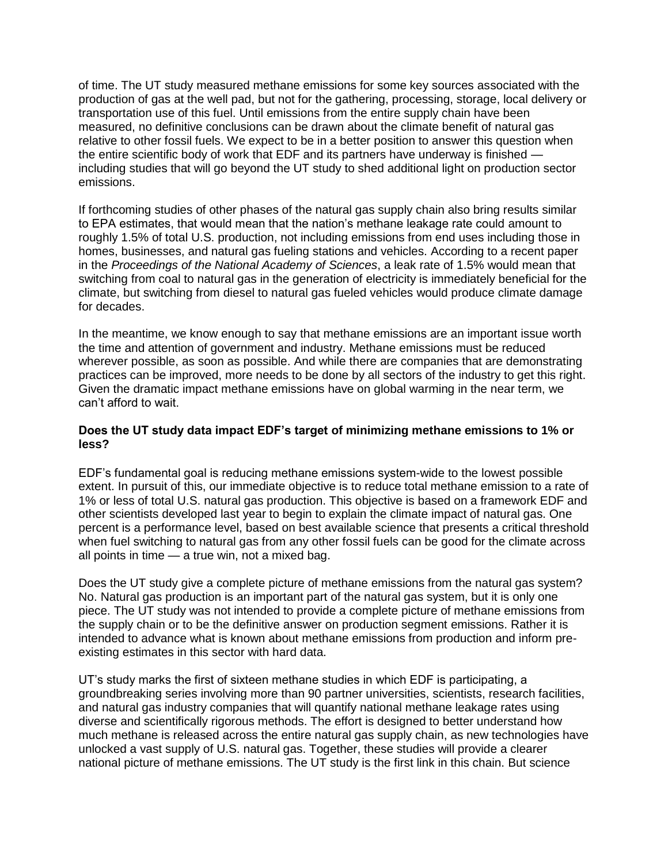of time. The UT study measured methane emissions for some key sources associated with the production of gas at the well pad, but not for the gathering, processing, storage, local delivery or transportation use of this fuel. Until emissions from the entire supply chain have been measured, no definitive conclusions can be drawn about the climate benefit of natural gas relative to other fossil fuels. We expect to be in a better position to answer this question when the entire scientific body of work that EDF and its partners have underway is finished including studies that will go beyond the UT study to shed additional light on production sector emissions.

If forthcoming studies of other phases of the natural gas supply chain also bring results similar to EPA estimates, that would mean that the nation's methane leakage rate could amount to roughly 1.5% of total U.S. production, not including emissions from end uses including those in homes, businesses, and natural gas fueling stations and vehicles. According to a recent paper in the *Proceedings of the National Academy of Sciences*, a leak rate of 1.5% would mean that switching from coal to natural gas in the generation of electricity is immediately beneficial for the climate, but switching from diesel to natural gas fueled vehicles would produce climate damage for decades.

In the meantime, we know enough to say that methane emissions are an important issue worth the time and attention of government and industry. Methane emissions must be reduced wherever possible, as soon as possible. And while there are companies that are demonstrating practices can be improved, more needs to be done by all sectors of the industry to get this right. Given the dramatic impact methane emissions have on global warming in the near term, we can't afford to wait.

## **Does the UT study data impact EDF's target of minimizing methane emissions to 1% or less?**

EDF's fundamental goal is reducing methane emissions system-wide to the lowest possible extent. In pursuit of this, our immediate objective is to reduce total methane emission to a rate of 1% or less of total U.S. natural gas production. This objective is based on a framework EDF and other scientists developed last year to begin to explain the climate impact of natural gas. One percent is a performance level, based on best available science that presents a critical threshold when fuel switching to natural gas from any other fossil fuels can be good for the climate across all points in time — a true win, not a mixed bag.

Does the UT study give a complete picture of methane emissions from the natural gas system? No. Natural gas production is an important part of the natural gas system, but it is only one piece. The UT study was not intended to provide a complete picture of methane emissions from the supply chain or to be the definitive answer on production segment emissions. Rather it is intended to advance what is known about methane emissions from production and inform preexisting estimates in this sector with hard data.

UT's study marks the first of sixteen methane studies in which EDF is participating, a groundbreaking series involving more than 90 partner universities, scientists, research facilities, and natural gas industry companies that will quantify national methane leakage rates using diverse and scientifically rigorous methods. The effort is designed to better understand how much methane is released across the entire natural gas supply chain, as new technologies have unlocked a vast supply of U.S. natural gas. Together, these studies will provide a clearer national picture of methane emissions. The UT study is the first link in this chain. But science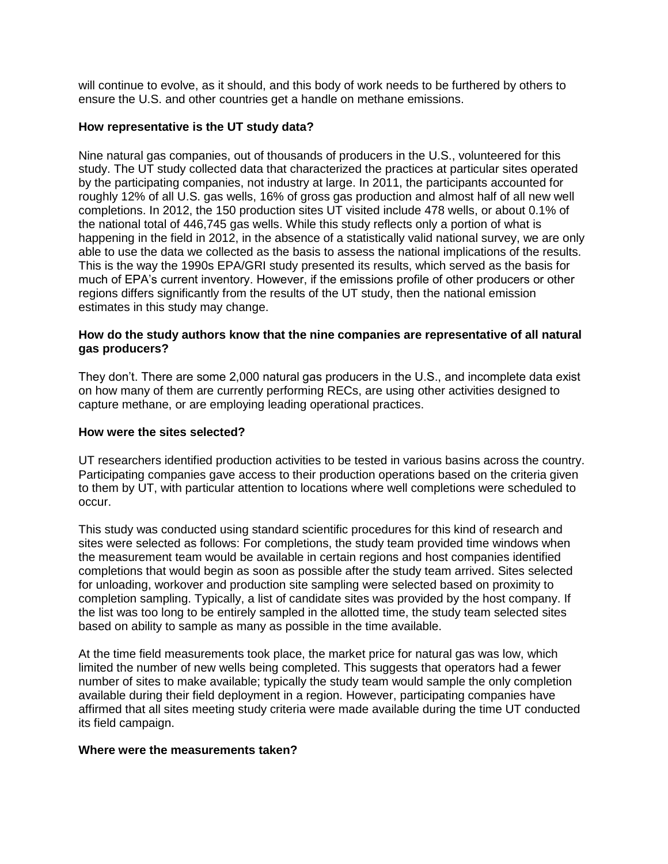will continue to evolve, as it should, and this body of work needs to be furthered by others to ensure the U.S. and other countries get a handle on methane emissions.

## **How representative is the UT study data?**

Nine natural gas companies, out of thousands of producers in the U.S., volunteered for this study. The UT study collected data that characterized the practices at particular sites operated by the participating companies, not industry at large. In 2011, the participants accounted for roughly 12% of all U.S. gas wells, 16% of gross gas production and almost half of all new well completions. In 2012, the 150 production sites UT visited include 478 wells, or about 0.1% of the national total of 446,745 gas wells. While this study reflects only a portion of what is happening in the field in 2012, in the absence of a statistically valid national survey, we are only able to use the data we collected as the basis to assess the national implications of the results. This is the way the 1990s EPA/GRI study presented its results, which served as the basis for much of EPA's current inventory. However, if the emissions profile of other producers or other regions differs significantly from the results of the UT study, then the national emission estimates in this study may change.

## **How do the study authors know that the nine companies are representative of all natural gas producers?**

They don't. There are some 2,000 natural gas producers in the U.S., and incomplete data exist on how many of them are currently performing RECs, are using other activities designed to capture methane, or are employing leading operational practices.

## **How were the sites selected?**

UT researchers identified production activities to be tested in various basins across the country. Participating companies gave access to their production operations based on the criteria given to them by UT, with particular attention to locations where well completions were scheduled to occur.

This study was conducted using standard scientific procedures for this kind of research and sites were selected as follows: For completions, the study team provided time windows when the measurement team would be available in certain regions and host companies identified completions that would begin as soon as possible after the study team arrived. Sites selected for unloading, workover and production site sampling were selected based on proximity to completion sampling. Typically, a list of candidate sites was provided by the host company. If the list was too long to be entirely sampled in the allotted time, the study team selected sites based on ability to sample as many as possible in the time available.

At the time field measurements took place, the market price for natural gas was low, which limited the number of new wells being completed. This suggests that operators had a fewer number of sites to make available; typically the study team would sample the only completion available during their field deployment in a region. However, participating companies have affirmed that all sites meeting study criteria were made available during the time UT conducted its field campaign.

#### **Where were the measurements taken?**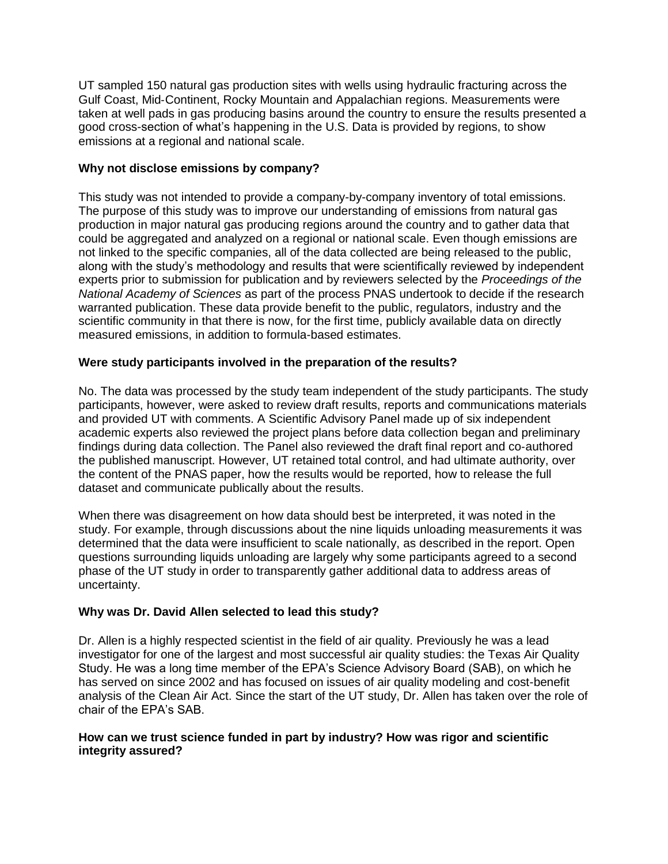UT sampled 150 natural gas production sites with wells using hydraulic fracturing across the Gulf Coast, Mid‐Continent, Rocky Mountain and Appalachian regions. Measurements were taken at well pads in gas producing basins around the country to ensure the results presented a good cross-section of what's happening in the U.S. Data is provided by regions, to show emissions at a regional and national scale.

## **Why not disclose emissions by company?**

This study was not intended to provide a company-by-company inventory of total emissions. The purpose of this study was to improve our understanding of emissions from natural gas production in major natural gas producing regions around the country and to gather data that could be aggregated and analyzed on a regional or national scale. Even though emissions are not linked to the specific companies, all of the data collected are being released to the public, along with the study's methodology and results that were scientifically reviewed by independent experts prior to submission for publication and by reviewers selected by the *Proceedings of the National Academy of Sciences* as part of the process PNAS undertook to decide if the research warranted publication. These data provide benefit to the public, regulators, industry and the scientific community in that there is now, for the first time, publicly available data on directly measured emissions, in addition to formula-based estimates.

# **Were study participants involved in the preparation of the results?**

No. The data was processed by the study team independent of the study participants. The study participants, however, were asked to review draft results, reports and communications materials and provided UT with comments. A Scientific Advisory Panel made up of six independent academic experts also reviewed the project plans before data collection began and preliminary findings during data collection. The Panel also reviewed the draft final report and co‐authored the published manuscript. However, UT retained total control, and had ultimate authority, over the content of the PNAS paper, how the results would be reported, how to release the full dataset and communicate publically about the results.

When there was disagreement on how data should best be interpreted, it was noted in the study. For example, through discussions about the nine liquids unloading measurements it was determined that the data were insufficient to scale nationally, as described in the report. Open questions surrounding liquids unloading are largely why some participants agreed to a second phase of the UT study in order to transparently gather additional data to address areas of uncertainty.

# **Why was Dr. David Allen selected to lead this study?**

Dr. Allen is a highly respected scientist in the field of air quality. Previously he was a lead investigator for one of the largest and most successful air quality studies: the Texas Air Quality Study. He was a long time member of the EPA's Science Advisory Board (SAB), on which he has served on since 2002 and has focused on issues of air quality modeling and cost-benefit analysis of the Clean Air Act. Since the start of the UT study, Dr. Allen has taken over the role of chair of the EPA's SAB.

## **How can we trust science funded in part by industry? How was rigor and scientific integrity assured?**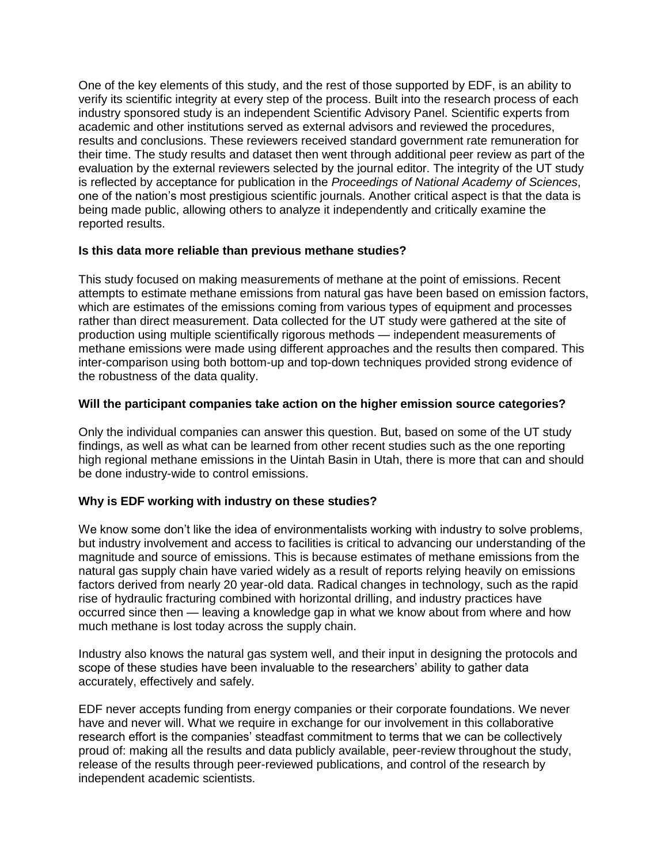One of the key elements of this study, and the rest of those supported by EDF, is an ability to verify its scientific integrity at every step of the process. Built into the research process of each industry sponsored study is an independent Scientific Advisory Panel. Scientific experts from academic and other institutions served as external advisors and reviewed the procedures, results and conclusions. These reviewers received standard government rate remuneration for their time. The study results and dataset then went through additional peer review as part of the evaluation by the external reviewers selected by the journal editor. The integrity of the UT study is reflected by acceptance for publication in the *Proceedings of National Academy of Sciences*, one of the nation's most prestigious scientific journals. Another critical aspect is that the data is being made public, allowing others to analyze it independently and critically examine the reported results.

## **Is this data more reliable than previous methane studies?**

This study focused on making measurements of methane at the point of emissions. Recent attempts to estimate methane emissions from natural gas have been based on emission factors, which are estimates of the emissions coming from various types of equipment and processes rather than direct measurement. Data collected for the UT study were gathered at the site of production using multiple scientifically rigorous methods — independent measurements of methane emissions were made using different approaches and the results then compared. This inter-comparison using both bottom-up and top-down techniques provided strong evidence of the robustness of the data quality.

## **Will the participant companies take action on the higher emission source categories?**

Only the individual companies can answer this question. But, based on some of the UT study findings, as well as what can be learned from other recent studies such as the one reporting high regional methane emissions in the Uintah Basin in Utah, there is more that can and should be done industry-wide to control emissions.

# **Why is EDF working with industry on these studies?**

We know some don't like the idea of environmentalists working with industry to solve problems, but industry involvement and access to facilities is critical to advancing our understanding of the magnitude and source of emissions. This is because estimates of methane emissions from the natural gas supply chain have varied widely as a result of reports relying heavily on emissions factors derived from nearly 20 year-old data. Radical changes in technology, such as the rapid rise of hydraulic fracturing combined with horizontal drilling, and industry practices have occurred since then — leaving a knowledge gap in what we know about from where and how much methane is lost today across the supply chain.

Industry also knows the natural gas system well, and their input in designing the protocols and scope of these studies have been invaluable to the researchers' ability to gather data accurately, effectively and safely.

EDF never accepts funding from energy companies or their corporate foundations. We never have and never will. What we require in exchange for our involvement in this collaborative research effort is the companies' steadfast commitment to terms that we can be collectively proud of: making all the results and data publicly available, peer-review throughout the study, release of the results through peer-reviewed publications, and control of the research by independent academic scientists.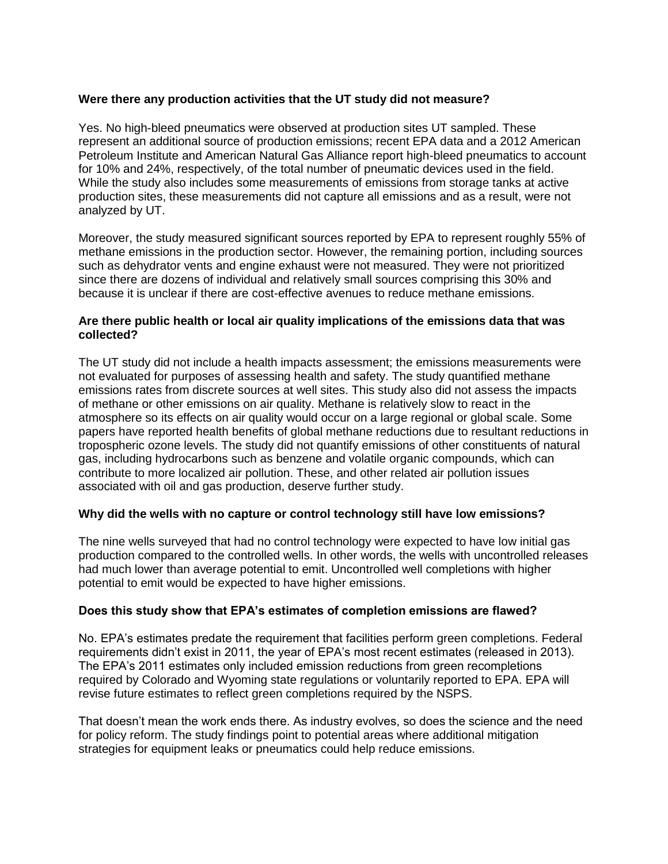# **Were there any production activities that the UT study did not measure?**

Yes. No high-bleed pneumatics were observed at production sites UT sampled. These represent an additional source of production emissions; recent EPA data and a 2012 American Petroleum Institute and American Natural Gas Alliance report high-bleed pneumatics to account for 10% and 24%, respectively, of the total number of pneumatic devices used in the field. While the study also includes some measurements of emissions from storage tanks at active production sites, these measurements did not capture all emissions and as a result, were not analyzed by UT.

Moreover, the study measured significant sources reported by EPA to represent roughly 55% of methane emissions in the production sector. However, the remaining portion, including sources such as dehydrator vents and engine exhaust were not measured. They were not prioritized since there are dozens of individual and relatively small sources comprising this 30% and because it is unclear if there are cost-effective avenues to reduce methane emissions.

## **Are there public health or local air quality implications of the emissions data that was collected?**

The UT study did not include a health impacts assessment; the emissions measurements were not evaluated for purposes of assessing health and safety. The study quantified methane emissions rates from discrete sources at well sites. This study also did not assess the impacts of methane or other emissions on air quality. Methane is relatively slow to react in the atmosphere so its effects on air quality would occur on a large regional or global scale. Some papers have reported health benefits of global methane reductions due to resultant reductions in tropospheric ozone levels. The study did not quantify emissions of other constituents of natural gas, including hydrocarbons such as benzene and volatile organic compounds, which can contribute to more localized air pollution. These, and other related air pollution issues associated with oil and gas production, deserve further study.

#### **Why did the wells with no capture or control technology still have low emissions?**

The nine wells surveyed that had no control technology were expected to have low initial gas production compared to the controlled wells. In other words, the wells with uncontrolled releases had much lower than average potential to emit. Uncontrolled well completions with higher potential to emit would be expected to have higher emissions.

#### **Does this study show that EPA's estimates of completion emissions are flawed?**

No. EPA's estimates predate the requirement that facilities perform green completions. Federal requirements didn't exist in 2011, the year of EPA's most recent estimates (released in 2013). The EPA's 2011 estimates only included emission reductions from green recompletions required by Colorado and Wyoming state regulations or voluntarily reported to EPA. EPA will revise future estimates to reflect green completions required by the NSPS.

That doesn't mean the work ends there. As industry evolves, so does the science and the need for policy reform. The study findings point to potential areas where additional mitigation strategies for equipment leaks or pneumatics could help reduce emissions.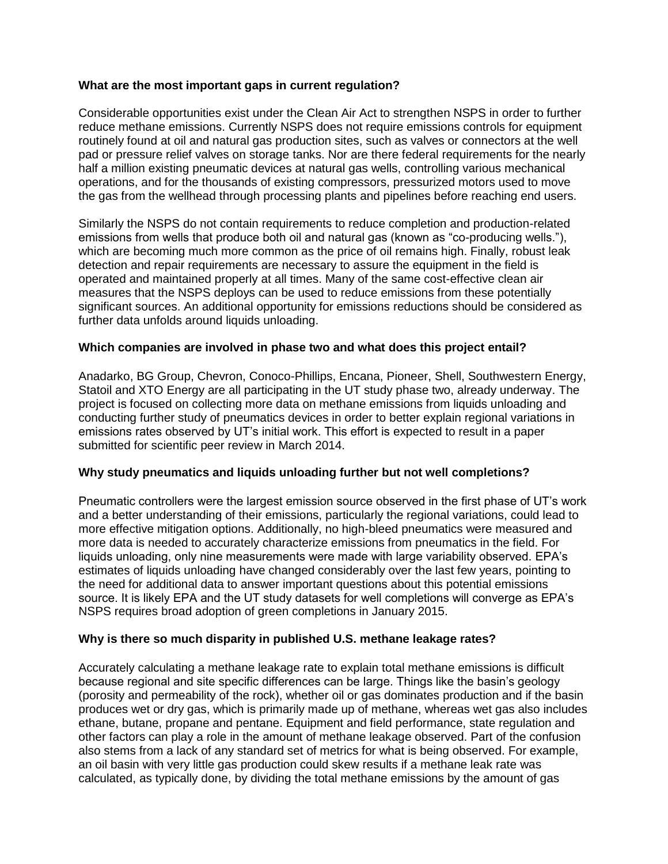## **What are the most important gaps in current regulation?**

Considerable opportunities exist under the Clean Air Act to strengthen NSPS in order to further reduce methane emissions. Currently NSPS does not require emissions controls for equipment routinely found at oil and natural gas production sites, such as valves or connectors at the well pad or pressure relief valves on storage tanks. Nor are there federal requirements for the nearly half a million existing pneumatic devices at natural gas wells, controlling various mechanical operations, and for the thousands of existing compressors, pressurized motors used to move the gas from the wellhead through processing plants and pipelines before reaching end users.

Similarly the NSPS do not contain requirements to reduce completion and production-related emissions from wells that produce both oil and natural gas (known as "co-producing wells."), which are becoming much more common as the price of oil remains high. Finally, robust leak detection and repair requirements are necessary to assure the equipment in the field is operated and maintained properly at all times. Many of the same cost-effective clean air measures that the NSPS deploys can be used to reduce emissions from these potentially significant sources. An additional opportunity for emissions reductions should be considered as further data unfolds around liquids unloading.

## **Which companies are involved in phase two and what does this project entail?**

Anadarko, BG Group, Chevron, Conoco-Phillips, Encana, Pioneer, Shell, Southwestern Energy, Statoil and XTO Energy are all participating in the UT study phase two, already underway. The project is focused on collecting more data on methane emissions from liquids unloading and conducting further study of pneumatics devices in order to better explain regional variations in emissions rates observed by UT's initial work. This effort is expected to result in a paper submitted for scientific peer review in March 2014.

#### **Why study pneumatics and liquids unloading further but not well completions?**

Pneumatic controllers were the largest emission source observed in the first phase of UT's work and a better understanding of their emissions, particularly the regional variations, could lead to more effective mitigation options. Additionally, no high-bleed pneumatics were measured and more data is needed to accurately characterize emissions from pneumatics in the field. For liquids unloading, only nine measurements were made with large variability observed. EPA's estimates of liquids unloading have changed considerably over the last few years, pointing to the need for additional data to answer important questions about this potential emissions source. It is likely EPA and the UT study datasets for well completions will converge as EPA's NSPS requires broad adoption of green completions in January 2015.

# **Why is there so much disparity in published U.S. methane leakage rates?**

Accurately calculating a methane leakage rate to explain total methane emissions is difficult because regional and site specific differences can be large. Things like the basin's geology (porosity and permeability of the rock), whether oil or gas dominates production and if the basin produces wet or dry gas, which is primarily made up of methane, whereas wet gas also includes ethane, butane, propane and pentane. Equipment and field performance, state regulation and other factors can play a role in the amount of methane leakage observed. Part of the confusion also stems from a lack of any standard set of metrics for what is being observed. For example, an oil basin with very little gas production could skew results if a methane leak rate was calculated, as typically done, by dividing the total methane emissions by the amount of gas